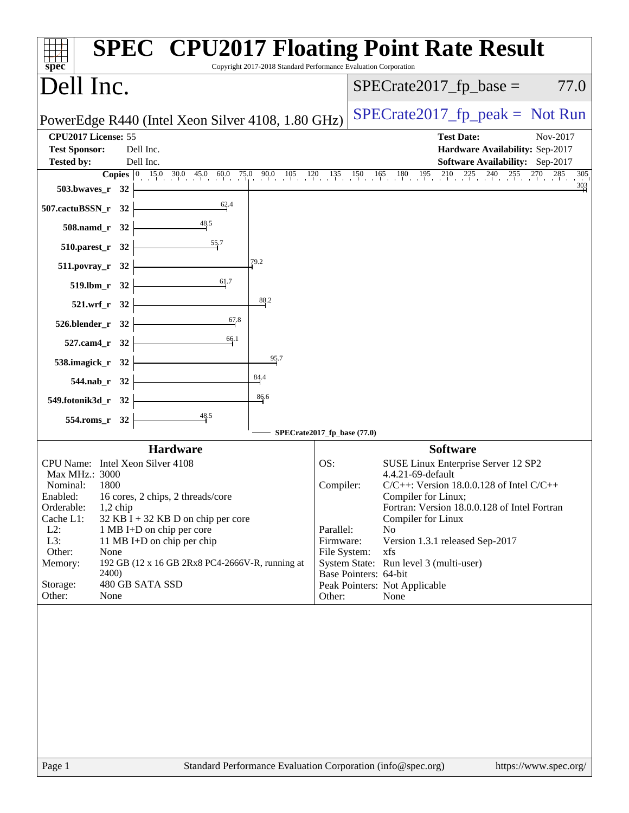| $spec^*$                                                                                                                                                                                                                                                                                                                                                                                                                                       | Copyright 2017-2018 Standard Performance Evaluation Corporation | <b>SPEC<sup>®</sup> CPU2017 Floating Point Rate Result</b>                                                                                                                                                                                                                                                                                                                                                                                                      |
|------------------------------------------------------------------------------------------------------------------------------------------------------------------------------------------------------------------------------------------------------------------------------------------------------------------------------------------------------------------------------------------------------------------------------------------------|-----------------------------------------------------------------|-----------------------------------------------------------------------------------------------------------------------------------------------------------------------------------------------------------------------------------------------------------------------------------------------------------------------------------------------------------------------------------------------------------------------------------------------------------------|
| Dell Inc.                                                                                                                                                                                                                                                                                                                                                                                                                                      |                                                                 | $SPECrate2017_fp\_base =$<br>77.0                                                                                                                                                                                                                                                                                                                                                                                                                               |
| PowerEdge R440 (Intel Xeon Silver 4108, 1.80 GHz)                                                                                                                                                                                                                                                                                                                                                                                              |                                                                 | $SPECrate2017_fp\_peak = Not Run$                                                                                                                                                                                                                                                                                                                                                                                                                               |
| CPU2017 License: 55<br><b>Test Sponsor:</b><br>Dell Inc.<br>Dell Inc.<br><b>Tested by:</b>                                                                                                                                                                                                                                                                                                                                                     |                                                                 | <b>Test Date:</b><br>Nov-2017<br>Hardware Availability: Sep-2017<br><b>Software Availability:</b> Sep-2017                                                                                                                                                                                                                                                                                                                                                      |
| 503.bwaves_r 32                                                                                                                                                                                                                                                                                                                                                                                                                                |                                                                 | <b>Copies</b> $\begin{bmatrix} 0 & 15.0 & 30.0 & 45.0 & 60.0 & 75.0 & 90.0 & 105 & 120 & 135 & 150 & 165 & 180 & 195 & 210 & 225 & 240 & 255 & 270 & 285 \end{bmatrix}$<br>305<br>$\frac{303}{4}$                                                                                                                                                                                                                                                               |
| 62.4<br>507.cactuBSSN_r 32                                                                                                                                                                                                                                                                                                                                                                                                                     |                                                                 |                                                                                                                                                                                                                                                                                                                                                                                                                                                                 |
| 48.5<br>508.namd_r 32                                                                                                                                                                                                                                                                                                                                                                                                                          |                                                                 |                                                                                                                                                                                                                                                                                                                                                                                                                                                                 |
| $\frac{55.7}{4}$<br>510.parest_r 32                                                                                                                                                                                                                                                                                                                                                                                                            |                                                                 |                                                                                                                                                                                                                                                                                                                                                                                                                                                                 |
| 511.povray_r 32                                                                                                                                                                                                                                                                                                                                                                                                                                | 79.2                                                            |                                                                                                                                                                                                                                                                                                                                                                                                                                                                 |
| 61.7<br>519.lbm_r 32                                                                                                                                                                                                                                                                                                                                                                                                                           | 88.2                                                            |                                                                                                                                                                                                                                                                                                                                                                                                                                                                 |
| 521.wrf_r 32<br>67.8                                                                                                                                                                                                                                                                                                                                                                                                                           |                                                                 |                                                                                                                                                                                                                                                                                                                                                                                                                                                                 |
| 526.blender_r 32<br>66.1                                                                                                                                                                                                                                                                                                                                                                                                                       |                                                                 |                                                                                                                                                                                                                                                                                                                                                                                                                                                                 |
| 527.cam4_r 32<br>538.imagick_r 32                                                                                                                                                                                                                                                                                                                                                                                                              | 95.7                                                            |                                                                                                                                                                                                                                                                                                                                                                                                                                                                 |
| 544.nab_r 32                                                                                                                                                                                                                                                                                                                                                                                                                                   | $\frac{84.4}{4}$                                                |                                                                                                                                                                                                                                                                                                                                                                                                                                                                 |
| 549.fotonik3d_r 32                                                                                                                                                                                                                                                                                                                                                                                                                             | 86.6                                                            |                                                                                                                                                                                                                                                                                                                                                                                                                                                                 |
| 48.5<br>554.roms_r 32                                                                                                                                                                                                                                                                                                                                                                                                                          |                                                                 |                                                                                                                                                                                                                                                                                                                                                                                                                                                                 |
|                                                                                                                                                                                                                                                                                                                                                                                                                                                | SPECrate2017_fp_base (77.0)                                     |                                                                                                                                                                                                                                                                                                                                                                                                                                                                 |
| <b>Hardware</b><br>CPU Name: Intel Xeon Silver 4108<br>Max MHz.: 3000<br>Nominal:<br>1800<br>Enabled: 16 cores, 2 chips, 2 threads/core<br>Orderable:<br>$1,2$ chip<br>Cache L1:<br>$32$ KB I + 32 KB D on chip per core<br>$L2$ :<br>1 MB I+D on chip per core<br>L3:<br>11 MB I+D on chip per chip<br>Other:<br>None<br>192 GB (12 x 16 GB 2Rx8 PC4-2666V-R, running at<br>Memory:<br>2400)<br>480 GB SATA SSD<br>Storage:<br>Other:<br>None | OS:<br>Other:                                                   | <b>Software</b><br>SUSE Linux Enterprise Server 12 SP2<br>4.4.21-69-default<br>Compiler:<br>$C/C++$ : Version 18.0.0.128 of Intel $C/C++$<br>Compiler for Linux;<br>Fortran: Version 18.0.0.128 of Intel Fortran<br><b>Compiler for Linux</b><br>Parallel:<br>N <sub>o</sub><br>Firmware:<br>Version 1.3.1 released Sep-2017<br>File System:<br>xfs<br>System State: Run level 3 (multi-user)<br>Base Pointers: 64-bit<br>Peak Pointers: Not Applicable<br>None |
| Page 1                                                                                                                                                                                                                                                                                                                                                                                                                                         |                                                                 | Standard Performance Evaluation Corporation (info@spec.org)<br>https://www.spec.org/                                                                                                                                                                                                                                                                                                                                                                            |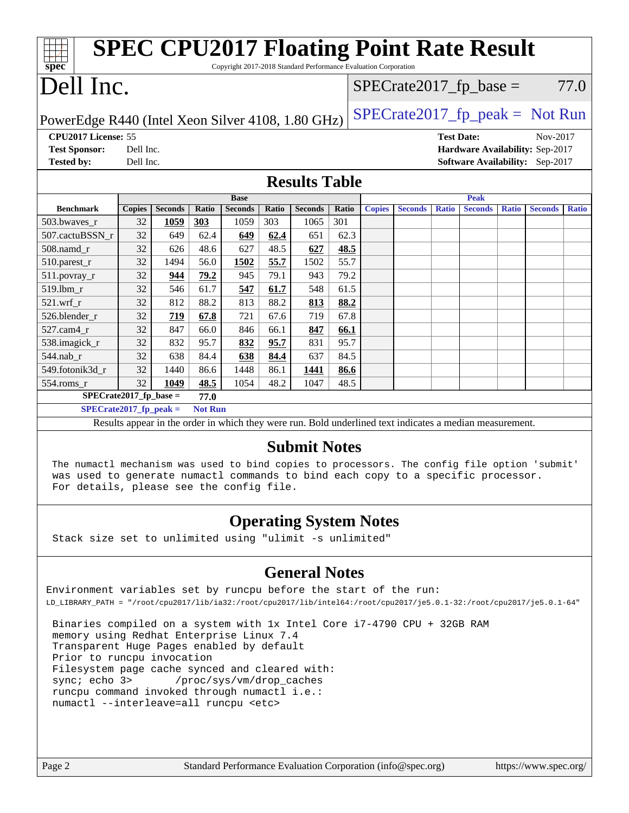| <b>SPEC CPU2017 Floating Point Rate Result</b><br>Copyright 2017-2018 Standard Performance Evaluation Corporation<br>spec |               |                |       |                |       |                |       |                                   |                |                   |                |              |                                 |              |
|---------------------------------------------------------------------------------------------------------------------------|---------------|----------------|-------|----------------|-------|----------------|-------|-----------------------------------|----------------|-------------------|----------------|--------------|---------------------------------|--------------|
|                                                                                                                           | Dell Inc.     |                |       |                |       |                |       | $SPECrate2017_fp\_base =$<br>77.0 |                |                   |                |              |                                 |              |
| $SPECrate2017fr peak = Not Run$<br>PowerEdge R440 (Intel Xeon Silver 4108, 1.80 GHz)                                      |               |                |       |                |       |                |       |                                   |                |                   |                |              |                                 |              |
| CPU2017 License: 55                                                                                                       |               |                |       |                |       |                |       |                                   |                | <b>Test Date:</b> |                |              | Nov-2017                        |              |
| <b>Test Sponsor:</b>                                                                                                      | Dell Inc.     |                |       |                |       |                |       |                                   |                |                   |                |              | Hardware Availability: Sep-2017 |              |
| <b>Tested by:</b>                                                                                                         | Dell Inc.     |                |       |                |       |                |       |                                   |                |                   |                |              | Software Availability: Sep-2017 |              |
| <b>Results Table</b>                                                                                                      |               |                |       |                |       |                |       |                                   |                |                   |                |              |                                 |              |
|                                                                                                                           |               |                |       | <b>Base</b>    |       |                |       |                                   |                |                   | <b>Peak</b>    |              |                                 |              |
| <b>Benchmark</b>                                                                                                          | <b>Copies</b> | <b>Seconds</b> | Ratio | <b>Seconds</b> | Ratio | <b>Seconds</b> | Ratio | <b>Copies</b>                     | <b>Seconds</b> | <b>Ratio</b>      | <b>Seconds</b> | <b>Ratio</b> | <b>Seconds</b>                  | <b>Ratio</b> |
| 503.bwaves r                                                                                                              | 32            | 1059           | 303   | 1059           | 303   | 1065           | 301   |                                   |                |                   |                |              |                                 |              |
| 507.cactuBSSN r                                                                                                           | 32            | 649            | 62.4  | 649            | 62.4  | 651            | 62.3  |                                   |                |                   |                |              |                                 |              |
| 508.namd r                                                                                                                | 32            | 626            | 48.6  | 627            | 48.5  | 627            | 48.5  |                                   |                |                   |                |              |                                 |              |
| 510.parest_r                                                                                                              | 32            | 1494           | 56.0  | 1502           | 55.7  | 1502           | 55.7  |                                   |                |                   |                |              |                                 |              |
| 511.povray_r                                                                                                              | 32            | 944            | 79.2  | 945            | 79.1  | 943            | 79.2  |                                   |                |                   |                |              |                                 |              |
| 519.lbm_r                                                                                                                 | 32            | 546            | 61.7  | 547            | 61.7  | 548            | 61.5  |                                   |                |                   |                |              |                                 |              |
| $521.wrf_r$                                                                                                               | 32            | 812            | 88.2  | 813            | 88.2  | 813            | 88.2  |                                   |                |                   |                |              |                                 |              |
| 526.blender_r                                                                                                             | 32            | 719            | 67.8  | 721            | 67.6  | 719            | 67.8  |                                   |                |                   |                |              |                                 |              |
| 527.cam4_r                                                                                                                | 32            | 847            | 66.0  | 846            | 66.1  | 847            | 66.1  |                                   |                |                   |                |              |                                 |              |
| 538.imagick_r                                                                                                             | 32            | 832            | 95.7  | 832            | 95.7  | 831            | 95.7  |                                   |                |                   |                |              |                                 |              |
| 544.nab_r                                                                                                                 | 32            | 638            | 84.4  | 638            | 84.4  | 637            | 84.5  |                                   |                |                   |                |              |                                 |              |
| 549.fotonik3d r                                                                                                           | 32            | 1440           | 86.6  | 1448           | 86.1  | 1441           | 86.6  |                                   |                |                   |                |              |                                 |              |
| 554.roms_r                                                                                                                | 32            | 1049           | 48.5  | 1054           | 48.2  | 1047           | 48.5  |                                   |                |                   |                |              |                                 |              |
| $SPECrate2017_fp\_base =$                                                                                                 |               |                | 77.0  |                |       |                |       |                                   |                |                   |                |              |                                 |              |
| <b>Not Run</b><br>$SPECrate2017_fp_peak =$                                                                                |               |                |       |                |       |                |       |                                   |                |                   |                |              |                                 |              |
| Results appear in the order in which they were run. Bold underlined text indicates a median measurement.                  |               |                |       |                |       |                |       |                                   |                |                   |                |              |                                 |              |
| <b>Submit Notes</b>                                                                                                       |               |                |       |                |       |                |       |                                   |                |                   |                |              |                                 |              |

 The numactl mechanism was used to bind copies to processors. The config file option 'submit' was used to generate numactl commands to bind each copy to a specific processor. For details, please see the config file.

## **[Operating System Notes](http://www.spec.org/auto/cpu2017/Docs/result-fields.html#OperatingSystemNotes)**

Stack size set to unlimited using "ulimit -s unlimited"

## **[General Notes](http://www.spec.org/auto/cpu2017/Docs/result-fields.html#GeneralNotes)**

Environment variables set by runcpu before the start of the run: LD\_LIBRARY\_PATH = "/root/cpu2017/lib/ia32:/root/cpu2017/lib/intel64:/root/cpu2017/je5.0.1-32:/root/cpu2017/je5.0.1-64"

 Binaries compiled on a system with 1x Intel Core i7-4790 CPU + 32GB RAM memory using Redhat Enterprise Linux 7.4 Transparent Huge Pages enabled by default Prior to runcpu invocation Filesystem page cache synced and cleared with: sync; echo 3> /proc/sys/vm/drop\_caches runcpu command invoked through numactl i.e.: numactl --interleave=all runcpu <etc>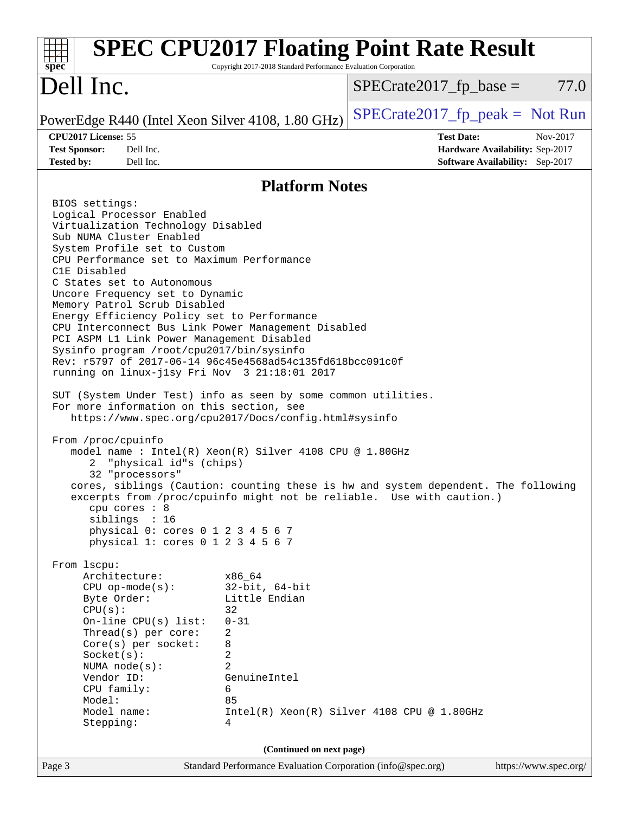| $spec^*$                                                                                                                                                                                                                                                                                                                                                                                                                                                                                                                                                                                                                                                                                                                                                                                                                                                                                                                                                                                                                                                                                                                                                                                                                                                                | Copyright 2017-2018 Standard Performance Evaluation Corporation | <b>SPEC CPU2017 Floating Point Rate Result</b> |                                                                                |
|-------------------------------------------------------------------------------------------------------------------------------------------------------------------------------------------------------------------------------------------------------------------------------------------------------------------------------------------------------------------------------------------------------------------------------------------------------------------------------------------------------------------------------------------------------------------------------------------------------------------------------------------------------------------------------------------------------------------------------------------------------------------------------------------------------------------------------------------------------------------------------------------------------------------------------------------------------------------------------------------------------------------------------------------------------------------------------------------------------------------------------------------------------------------------------------------------------------------------------------------------------------------------|-----------------------------------------------------------------|------------------------------------------------|--------------------------------------------------------------------------------|
| Dell Inc.                                                                                                                                                                                                                                                                                                                                                                                                                                                                                                                                                                                                                                                                                                                                                                                                                                                                                                                                                                                                                                                                                                                                                                                                                                                               |                                                                 | $SPECrate2017fr base =$                        | 77.0                                                                           |
| PowerEdge R440 (Intel Xeon Silver 4108, 1.80 GHz)                                                                                                                                                                                                                                                                                                                                                                                                                                                                                                                                                                                                                                                                                                                                                                                                                                                                                                                                                                                                                                                                                                                                                                                                                       |                                                                 | $SPECrate2017_fp\_peak = Not Run$              |                                                                                |
| CPU2017 License: 55<br><b>Test Sponsor:</b><br>Dell Inc.<br>Dell Inc.<br><b>Tested by:</b>                                                                                                                                                                                                                                                                                                                                                                                                                                                                                                                                                                                                                                                                                                                                                                                                                                                                                                                                                                                                                                                                                                                                                                              |                                                                 | <b>Test Date:</b>                              | Nov-2017<br>Hardware Availability: Sep-2017<br>Software Availability: Sep-2017 |
|                                                                                                                                                                                                                                                                                                                                                                                                                                                                                                                                                                                                                                                                                                                                                                                                                                                                                                                                                                                                                                                                                                                                                                                                                                                                         | <b>Platform Notes</b>                                           |                                                |                                                                                |
| BIOS settings:                                                                                                                                                                                                                                                                                                                                                                                                                                                                                                                                                                                                                                                                                                                                                                                                                                                                                                                                                                                                                                                                                                                                                                                                                                                          |                                                                 |                                                |                                                                                |
| Logical Processor Enabled<br>Virtualization Technology Disabled<br>Sub NUMA Cluster Enabled<br>System Profile set to Custom<br>CPU Performance set to Maximum Performance<br>C1E Disabled<br>C States set to Autonomous<br>Uncore Frequency set to Dynamic<br>Memory Patrol Scrub Disabled<br>Energy Efficiency Policy set to Performance<br>CPU Interconnect Bus Link Power Management Disabled<br>PCI ASPM L1 Link Power Management Disabled<br>Sysinfo program /root/cpu2017/bin/sysinfo<br>Rev: r5797 of 2017-06-14 96c45e4568ad54c135fd618bcc091c0f<br>running on linux-jlsy Fri Nov 3 21:18:01 2017<br>SUT (System Under Test) info as seen by some common utilities.<br>For more information on this section, see<br>https://www.spec.org/cpu2017/Docs/config.html#sysinfo<br>From /proc/cpuinfo<br>model name : Intel(R) Xeon(R) Silver 4108 CPU @ 1.80GHz<br>"physical id"s (chips)<br>2<br>32 "processors"<br>cores, siblings (Caution: counting these is hw and system dependent. The following<br>excerpts from /proc/cpuinfo might not be reliable. Use with caution.)<br>cpu cores : 8<br>siblings : 16<br>physical 0: cores 0 1 2 3 4 5 6 7<br>physical 1: cores 0 1 2 3 4 5 6 7<br>From 1scpu:<br>Architecture:<br>$CPU$ op-mode( $s$ ):<br>Byte Order: | x86 64<br>$32$ -bit, $64$ -bit<br>Little Endian                 |                                                |                                                                                |
| CPU(s):<br>On-line $CPU(s)$ list:<br>Thread(s) per core:<br>Core(s) per socket:                                                                                                                                                                                                                                                                                                                                                                                                                                                                                                                                                                                                                                                                                                                                                                                                                                                                                                                                                                                                                                                                                                                                                                                         | 32<br>$0 - 31$<br>2<br>8                                        |                                                |                                                                                |
| Socket(s):<br>NUMA $node(s):$<br>Vendor ID:<br>CPU family:<br>Model:                                                                                                                                                                                                                                                                                                                                                                                                                                                                                                                                                                                                                                                                                                                                                                                                                                                                                                                                                                                                                                                                                                                                                                                                    | 2<br>$\overline{2}$<br>GenuineIntel<br>6<br>85                  |                                                |                                                                                |
| Model name:<br>Stepping:                                                                                                                                                                                                                                                                                                                                                                                                                                                                                                                                                                                                                                                                                                                                                                                                                                                                                                                                                                                                                                                                                                                                                                                                                                                | 4                                                               | $Intel(R) Xeon(R) Silver 4108 CPU @ 1.80GHz$   |                                                                                |
|                                                                                                                                                                                                                                                                                                                                                                                                                                                                                                                                                                                                                                                                                                                                                                                                                                                                                                                                                                                                                                                                                                                                                                                                                                                                         | (Continued on next page)                                        |                                                |                                                                                |
| Page 3                                                                                                                                                                                                                                                                                                                                                                                                                                                                                                                                                                                                                                                                                                                                                                                                                                                                                                                                                                                                                                                                                                                                                                                                                                                                  | Standard Performance Evaluation Corporation (info@spec.org)     |                                                | https://www.spec.org/                                                          |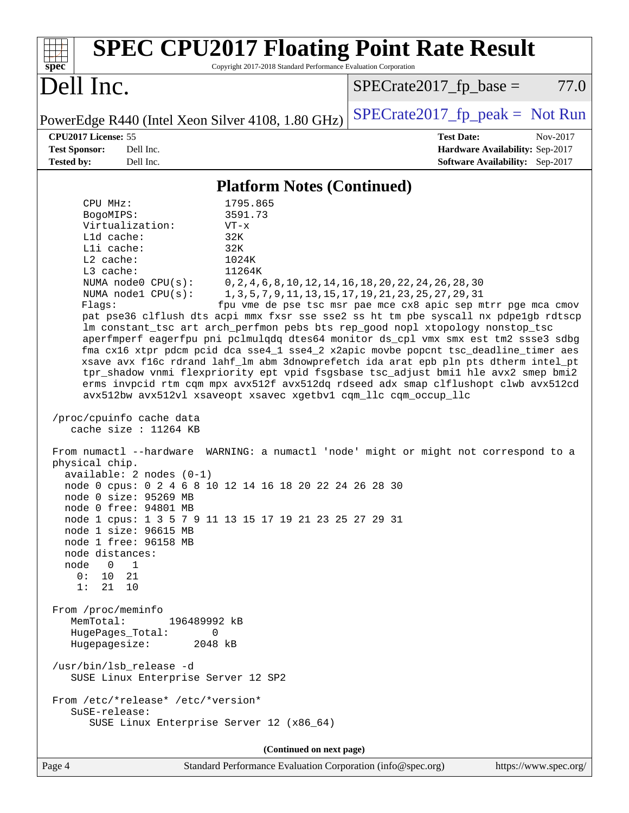| <b>SPEC CPU2017 Floating Point Rate Result</b><br>Copyright 2017-2018 Standard Performance Evaluation Corporation<br>$spec^*$                                                                                                                                                                                                                                                                                                                                                                                                                                                                                                                                                                                                                                                                                                                                                                                                                                                                                                                                                                                                                                                                                                                                                                                                                                                                                                                                                                                                                                                                                                                                                                                                                           |                                                                                                                                                                                         |
|---------------------------------------------------------------------------------------------------------------------------------------------------------------------------------------------------------------------------------------------------------------------------------------------------------------------------------------------------------------------------------------------------------------------------------------------------------------------------------------------------------------------------------------------------------------------------------------------------------------------------------------------------------------------------------------------------------------------------------------------------------------------------------------------------------------------------------------------------------------------------------------------------------------------------------------------------------------------------------------------------------------------------------------------------------------------------------------------------------------------------------------------------------------------------------------------------------------------------------------------------------------------------------------------------------------------------------------------------------------------------------------------------------------------------------------------------------------------------------------------------------------------------------------------------------------------------------------------------------------------------------------------------------------------------------------------------------------------------------------------------------|-----------------------------------------------------------------------------------------------------------------------------------------------------------------------------------------|
| Dell Inc.                                                                                                                                                                                                                                                                                                                                                                                                                                                                                                                                                                                                                                                                                                                                                                                                                                                                                                                                                                                                                                                                                                                                                                                                                                                                                                                                                                                                                                                                                                                                                                                                                                                                                                                                               | $SPECrate2017_fp\_base =$<br>77.0                                                                                                                                                       |
| PowerEdge R440 (Intel Xeon Silver 4108, 1.80 GHz)                                                                                                                                                                                                                                                                                                                                                                                                                                                                                                                                                                                                                                                                                                                                                                                                                                                                                                                                                                                                                                                                                                                                                                                                                                                                                                                                                                                                                                                                                                                                                                                                                                                                                                       | $SPECrate2017_fp\_peak = Not Run$                                                                                                                                                       |
| CPU2017 License: 55<br><b>Test Sponsor:</b><br>Dell Inc.<br><b>Tested by:</b><br>Dell Inc.                                                                                                                                                                                                                                                                                                                                                                                                                                                                                                                                                                                                                                                                                                                                                                                                                                                                                                                                                                                                                                                                                                                                                                                                                                                                                                                                                                                                                                                                                                                                                                                                                                                              | <b>Test Date:</b><br>Nov-2017<br>Hardware Availability: Sep-2017<br><b>Software Availability:</b> Sep-2017                                                                              |
| <b>Platform Notes (Continued)</b>                                                                                                                                                                                                                                                                                                                                                                                                                                                                                                                                                                                                                                                                                                                                                                                                                                                                                                                                                                                                                                                                                                                                                                                                                                                                                                                                                                                                                                                                                                                                                                                                                                                                                                                       |                                                                                                                                                                                         |
| CPU MHz:<br>1795.865<br>3591.73<br>BogoMIPS:<br>Virtualization:<br>$VT - x$<br>L1d cache:<br>32K<br>Lli cache:<br>32K<br>L2 cache:<br>1024K<br>L3 cache:<br>11264K<br>NUMA node0 CPU(s):<br>NUMA $node1$ $CPU(s):$<br>Flaqs:<br>pat pse36 clflush dts acpi mmx fxsr sse sse2 ss ht tm pbe syscall nx pdpelgb rdtscp<br>lm constant_tsc art arch_perfmon pebs bts rep_good nopl xtopology nonstop_tsc<br>aperfmperf eagerfpu pni pclmulqdq dtes64 monitor ds_cpl vmx smx est tm2 ssse3 sdbg<br>fma cx16 xtpr pdcm pcid dca sse4_1 sse4_2 x2apic movbe popcnt tsc_deadline_timer aes<br>xsave avx f16c rdrand lahf_lm abm 3dnowprefetch ida arat epb pln pts dtherm intel_pt<br>tpr_shadow vnmi flexpriority ept vpid fsgsbase tsc_adjust bmil hle avx2 smep bmi2<br>erms invpcid rtm cqm mpx avx512f avx512dq rdseed adx smap clflushopt clwb avx512cd<br>avx512bw avx512vl xsaveopt xsavec xgetbvl cqm_llc cqm_occup_llc<br>/proc/cpuinfo cache data<br>cache size : 11264 KB<br>From numactl --hardware WARNING: a numactl 'node' might or might not correspond to a<br>physical chip.<br>$available: 2 nodes (0-1)$<br>node 0 cpus: 0 2 4 6 8 10 12 14 16 18 20 22 24 26 28 30<br>node 0 size: 95269 MB<br>node 0 free: 94801 MB<br>node 1 cpus: 1 3 5 7 9 11 13 15 17 19 21 23 25 27 29 31<br>node 1 size: 96615 MB<br>node 1 free: 96158 MB<br>node distances:<br>node<br>$\begin{array}{ccc} & 0 & 1 \end{array}$<br>0: 10 21<br>1: 21 10<br>From /proc/meminfo<br>MemTotal:<br>196489992 kB<br>HugePages_Total:<br>0<br>Hugepagesize:<br>2048 kB<br>/usr/bin/lsb_release -d<br>SUSE Linux Enterprise Server 12 SP2<br>From /etc/*release* /etc/*version*<br>SuSE-release:<br>SUSE Linux Enterprise Server 12 (x86_64)<br>(Continued on next page) | 0, 2, 4, 6, 8, 10, 12, 14, 16, 18, 20, 22, 24, 26, 28, 30<br>1, 3, 5, 7, 9, 11, 13, 15, 17, 19, 21, 23, 25, 27, 29, 31<br>fpu vme de pse tsc msr pae mce cx8 apic sep mtrr pge mca cmov |
| Standard Performance Evaluation Corporation (info@spec.org)<br>Page 4                                                                                                                                                                                                                                                                                                                                                                                                                                                                                                                                                                                                                                                                                                                                                                                                                                                                                                                                                                                                                                                                                                                                                                                                                                                                                                                                                                                                                                                                                                                                                                                                                                                                                   | https://www.spec.org/                                                                                                                                                                   |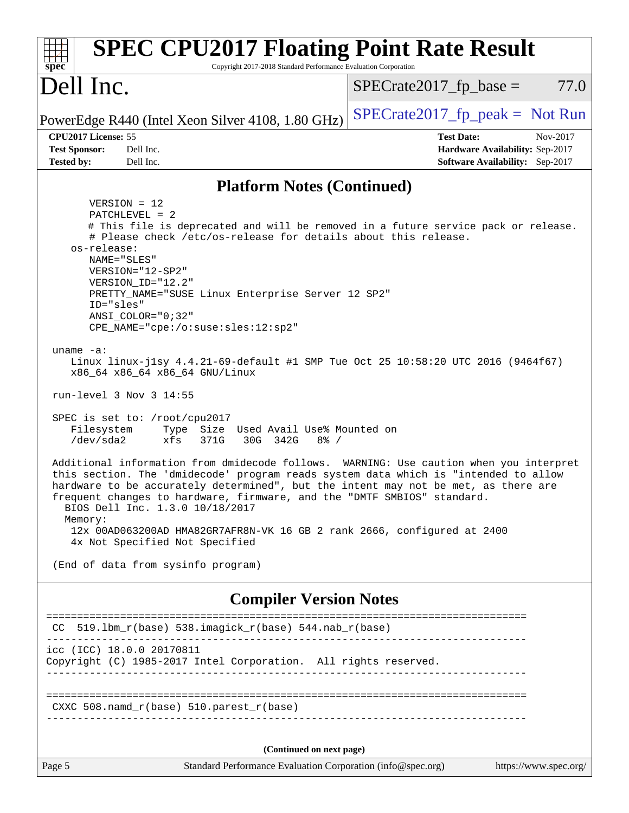| <b>SPEC CPU2017 Floating Point Rate Result</b><br>Copyright 2017-2018 Standard Performance Evaluation Corporation<br>$spec^*$                                                                                                                                                                                                                                                                                                                                                                                                                                                                                                                                                                                                                                                                                                                                                                                                                                                                                                                                                                                                                                                                                                                                          |                                                                                                     |  |  |  |
|------------------------------------------------------------------------------------------------------------------------------------------------------------------------------------------------------------------------------------------------------------------------------------------------------------------------------------------------------------------------------------------------------------------------------------------------------------------------------------------------------------------------------------------------------------------------------------------------------------------------------------------------------------------------------------------------------------------------------------------------------------------------------------------------------------------------------------------------------------------------------------------------------------------------------------------------------------------------------------------------------------------------------------------------------------------------------------------------------------------------------------------------------------------------------------------------------------------------------------------------------------------------|-----------------------------------------------------------------------------------------------------|--|--|--|
| Dell Inc.                                                                                                                                                                                                                                                                                                                                                                                                                                                                                                                                                                                                                                                                                                                                                                                                                                                                                                                                                                                                                                                                                                                                                                                                                                                              | $SPECrate2017_fp\_base =$<br>77.0                                                                   |  |  |  |
| PowerEdge R440 (Intel Xeon Silver 4108, 1.80 GHz)                                                                                                                                                                                                                                                                                                                                                                                                                                                                                                                                                                                                                                                                                                                                                                                                                                                                                                                                                                                                                                                                                                                                                                                                                      | $SPECrate2017_fp\_peak = Not Run$                                                                   |  |  |  |
| CPU2017 License: 55<br><b>Test Sponsor:</b><br>Dell Inc.<br><b>Tested by:</b><br>Dell Inc.                                                                                                                                                                                                                                                                                                                                                                                                                                                                                                                                                                                                                                                                                                                                                                                                                                                                                                                                                                                                                                                                                                                                                                             | <b>Test Date:</b><br>Nov-2017<br>Hardware Availability: Sep-2017<br>Software Availability: Sep-2017 |  |  |  |
| <b>Platform Notes (Continued)</b>                                                                                                                                                                                                                                                                                                                                                                                                                                                                                                                                                                                                                                                                                                                                                                                                                                                                                                                                                                                                                                                                                                                                                                                                                                      |                                                                                                     |  |  |  |
| $VERSION = 12$<br>PATCHLEVEL = 2<br># This file is deprecated and will be removed in a future service pack or release.<br># Please check /etc/os-release for details about this release.<br>os-release:<br>NAME="SLES"<br>VERSION="12-SP2"<br>VERSION ID="12.2"<br>PRETTY_NAME="SUSE Linux Enterprise Server 12 SP2"<br>ID="sles"<br>ANSI COLOR="0;32"<br>CPE_NAME="cpe:/o:suse:sles:12:sp2"<br>uname $-a$ :<br>Linux linux-j1sy 4.4.21-69-default #1 SMP Tue Oct 25 10:58:20 UTC 2016 (9464f67)<br>x86_64 x86_64 x86_64 GNU/Linux<br>run-level 3 Nov 3 14:55<br>SPEC is set to: /root/cpu2017<br>Filesystem<br>Type<br>Size Used Avail Use% Mounted on<br>/dev/sda2<br>xfs<br>371G<br>30G 342G<br>$8\frac{6}{6}$ /<br>Additional information from dmidecode follows. WARNING: Use caution when you interpret<br>this section. The 'dmidecode' program reads system data which is "intended to allow<br>hardware to be accurately determined", but the intent may not be met, as there are<br>frequent changes to hardware, firmware, and the "DMTF SMBIOS" standard.<br>BIOS Dell Inc. 1.3.0 10/18/2017<br>Memory:<br>12x 00AD063200AD HMA82GR7AFR8N-VK 16 GB 2 rank 2666, configured at 2400<br>4x Not Specified Not Specified<br>(End of data from sysinfo program) |                                                                                                     |  |  |  |
| <b>Compiler Version Notes</b>                                                                                                                                                                                                                                                                                                                                                                                                                                                                                                                                                                                                                                                                                                                                                                                                                                                                                                                                                                                                                                                                                                                                                                                                                                          |                                                                                                     |  |  |  |
| $CC$ 519.1bm_ $r$ (base) 538.imagick_ $r$ (base) 544.nab_ $r$ (base)                                                                                                                                                                                                                                                                                                                                                                                                                                                                                                                                                                                                                                                                                                                                                                                                                                                                                                                                                                                                                                                                                                                                                                                                   | ========================                                                                            |  |  |  |
| icc (ICC) 18.0.0 20170811<br>Copyright (C) 1985-2017 Intel Corporation. All rights reserved.                                                                                                                                                                                                                                                                                                                                                                                                                                                                                                                                                                                                                                                                                                                                                                                                                                                                                                                                                                                                                                                                                                                                                                           |                                                                                                     |  |  |  |
| CXXC 508.namd_r(base) 510.parest_r(base)                                                                                                                                                                                                                                                                                                                                                                                                                                                                                                                                                                                                                                                                                                                                                                                                                                                                                                                                                                                                                                                                                                                                                                                                                               |                                                                                                     |  |  |  |
| (Continued on next page)                                                                                                                                                                                                                                                                                                                                                                                                                                                                                                                                                                                                                                                                                                                                                                                                                                                                                                                                                                                                                                                                                                                                                                                                                                               |                                                                                                     |  |  |  |
| Page 5<br>Standard Performance Evaluation Corporation (info@spec.org)                                                                                                                                                                                                                                                                                                                                                                                                                                                                                                                                                                                                                                                                                                                                                                                                                                                                                                                                                                                                                                                                                                                                                                                                  | https://www.spec.org/                                                                               |  |  |  |
|                                                                                                                                                                                                                                                                                                                                                                                                                                                                                                                                                                                                                                                                                                                                                                                                                                                                                                                                                                                                                                                                                                                                                                                                                                                                        |                                                                                                     |  |  |  |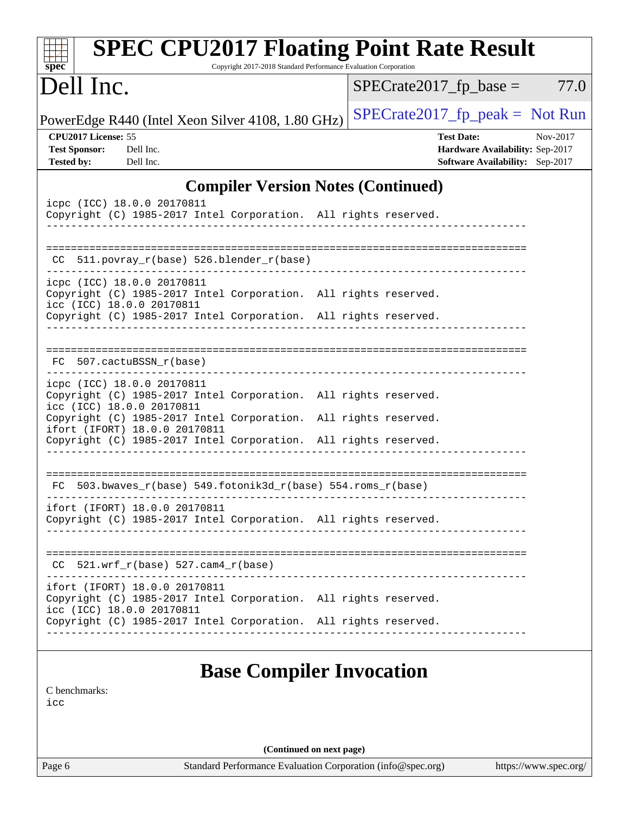| <b>SPEC CPU2017 Floating Point Rate Result</b><br>Copyright 2017-2018 Standard Performance Evaluation Corporation<br>$spec^*$                                       |                                                                                                            |
|---------------------------------------------------------------------------------------------------------------------------------------------------------------------|------------------------------------------------------------------------------------------------------------|
| Dell Inc.                                                                                                                                                           | $SPECrate2017fr base =$<br>77.0                                                                            |
| PowerEdge R440 (Intel Xeon Silver 4108, 1.80 GHz)                                                                                                                   | $SPECrate2017fr peak = Not Run$                                                                            |
| CPU2017 License: 55<br><b>Test Sponsor:</b><br>Dell Inc.<br><b>Tested by:</b><br>Dell Inc.                                                                          | <b>Test Date:</b><br>Nov-2017<br>Hardware Availability: Sep-2017<br><b>Software Availability:</b> Sep-2017 |
| <b>Compiler Version Notes (Continued)</b>                                                                                                                           |                                                                                                            |
| icpc (ICC) 18.0.0 20170811<br>Copyright (C) 1985-2017 Intel Corporation. All rights reserved.                                                                       |                                                                                                            |
| 511.povray_r(base) 526.blender_r(base)<br>CC.                                                                                                                       |                                                                                                            |
| icpc (ICC) 18.0.0 20170811<br>Copyright (C) 1985-2017 Intel Corporation. All rights reserved.<br>icc (ICC) 18.0.0 20170811                                          |                                                                                                            |
| Copyright (C) 1985-2017 Intel Corporation. All rights reserved.                                                                                                     |                                                                                                            |
| FC 507.cactuBSSN_r(base)                                                                                                                                            |                                                                                                            |
| icpc (ICC) 18.0.0 20170811<br>Copyright (C) 1985-2017 Intel Corporation. All rights reserved.<br>icc (ICC) 18.0.0 20170811                                          |                                                                                                            |
| Copyright (C) 1985-2017 Intel Corporation. All rights reserved.<br>ifort (IFORT) 18.0.0 20170811<br>Copyright (C) 1985-2017 Intel Corporation. All rights reserved. |                                                                                                            |
| FC 503.bwaves_r(base) 549.fotonik3d_r(base) 554.roms_r(base)                                                                                                        |                                                                                                            |
| ifort (IFORT) 18.0.0 20170811<br>Copyright (C) 1985-2017 Intel Corporation. All rights reserved.                                                                    |                                                                                                            |
| $CC$ 521.wrf_r(base) 527.cam4_r(base)                                                                                                                               |                                                                                                            |
| ifort (IFORT) 18.0.0 20170811<br>Copyright (C) 1985-2017 Intel Corporation. All rights reserved.<br>icc (ICC) 18.0.0 20170811                                       |                                                                                                            |
| Copyright (C) 1985-2017 Intel Corporation. All rights reserved.                                                                                                     |                                                                                                            |
| <b>Base Compiler Invocation</b><br>C benchmarks:<br>icc                                                                                                             |                                                                                                            |
| (Continued on next page)                                                                                                                                            |                                                                                                            |
| Standard Performance Evaluation Corporation (info@spec.org)<br>Page 6                                                                                               | https://www.spec.org/                                                                                      |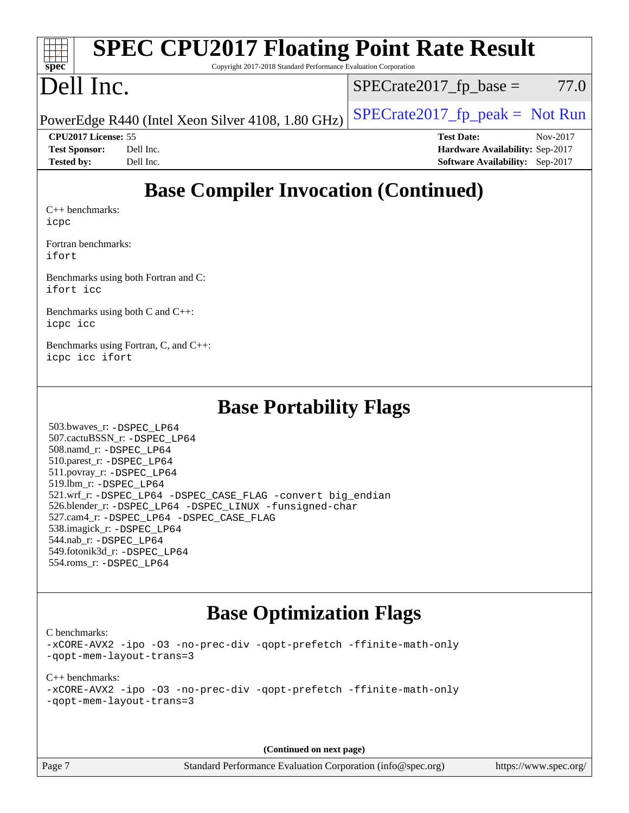| <b>SPEC CPU2017 Floating Point Rate Result</b>                                                                                                                   |                                        |  |  |  |  |
|------------------------------------------------------------------------------------------------------------------------------------------------------------------|----------------------------------------|--|--|--|--|
| $spec^*$<br>Copyright 2017-2018 Standard Performance Evaluation Corporation                                                                                      |                                        |  |  |  |  |
| Dell Inc.                                                                                                                                                        | $SPECrate2017_fp\_base =$<br>77.0      |  |  |  |  |
| PowerEdge R440 (Intel Xeon Silver 4108, 1.80 GHz)                                                                                                                | $SPECTate2017_fp\_peak = Not Run$      |  |  |  |  |
| CPU2017 License: 55                                                                                                                                              | <b>Test Date:</b><br>Nov-2017          |  |  |  |  |
| Dell Inc.<br><b>Test Sponsor:</b>                                                                                                                                | Hardware Availability: Sep-2017        |  |  |  |  |
| <b>Tested by:</b><br>Dell Inc.                                                                                                                                   | <b>Software Availability:</b> Sep-2017 |  |  |  |  |
| <b>Base Compiler Invocation (Continued)</b><br>$C_{++}$ benchmarks:<br>icpc<br>Fortran benchmarks:<br>ifort<br>Benchmarks using both Fortran and C:<br>ifort icc |                                        |  |  |  |  |
| Benchmarks using both C and C++:<br>icpc icc                                                                                                                     |                                        |  |  |  |  |
| Benchmarks using Fortran, C, and C++:<br>icpc icc ifort                                                                                                          |                                        |  |  |  |  |
| <b>Base Portability Flags</b>                                                                                                                                    |                                        |  |  |  |  |
| 503.bwaves_r: -DSPEC_LP64                                                                                                                                        |                                        |  |  |  |  |

 507.cactuBSSN\_r: [-DSPEC\\_LP64](http://www.spec.org/cpu2017/results/res2017q4/cpu2017-20171127-00940.flags.html#suite_basePORTABILITY507_cactuBSSN_r_DSPEC_LP64) 508.namd\_r: [-DSPEC\\_LP64](http://www.spec.org/cpu2017/results/res2017q4/cpu2017-20171127-00940.flags.html#suite_basePORTABILITY508_namd_r_DSPEC_LP64) 510.parest\_r: [-DSPEC\\_LP64](http://www.spec.org/cpu2017/results/res2017q4/cpu2017-20171127-00940.flags.html#suite_basePORTABILITY510_parest_r_DSPEC_LP64) 511.povray\_r: [-DSPEC\\_LP64](http://www.spec.org/cpu2017/results/res2017q4/cpu2017-20171127-00940.flags.html#suite_basePORTABILITY511_povray_r_DSPEC_LP64) 519.lbm\_r: [-DSPEC\\_LP64](http://www.spec.org/cpu2017/results/res2017q4/cpu2017-20171127-00940.flags.html#suite_basePORTABILITY519_lbm_r_DSPEC_LP64) 521.wrf\_r: [-DSPEC\\_LP64](http://www.spec.org/cpu2017/results/res2017q4/cpu2017-20171127-00940.flags.html#suite_basePORTABILITY521_wrf_r_DSPEC_LP64) [-DSPEC\\_CASE\\_FLAG](http://www.spec.org/cpu2017/results/res2017q4/cpu2017-20171127-00940.flags.html#b521.wrf_r_baseCPORTABILITY_DSPEC_CASE_FLAG) [-convert big\\_endian](http://www.spec.org/cpu2017/results/res2017q4/cpu2017-20171127-00940.flags.html#user_baseFPORTABILITY521_wrf_r_convert_big_endian_c3194028bc08c63ac5d04de18c48ce6d347e4e562e8892b8bdbdc0214820426deb8554edfa529a3fb25a586e65a3d812c835984020483e7e73212c4d31a38223) 526.blender\_r: [-DSPEC\\_LP64](http://www.spec.org/cpu2017/results/res2017q4/cpu2017-20171127-00940.flags.html#suite_basePORTABILITY526_blender_r_DSPEC_LP64) [-DSPEC\\_LINUX](http://www.spec.org/cpu2017/results/res2017q4/cpu2017-20171127-00940.flags.html#b526.blender_r_baseCPORTABILITY_DSPEC_LINUX) [-funsigned-char](http://www.spec.org/cpu2017/results/res2017q4/cpu2017-20171127-00940.flags.html#user_baseCPORTABILITY526_blender_r_force_uchar_40c60f00ab013830e2dd6774aeded3ff59883ba5a1fc5fc14077f794d777847726e2a5858cbc7672e36e1b067e7e5c1d9a74f7176df07886a243d7cc18edfe67) 527.cam4\_r: [-DSPEC\\_LP64](http://www.spec.org/cpu2017/results/res2017q4/cpu2017-20171127-00940.flags.html#suite_basePORTABILITY527_cam4_r_DSPEC_LP64) [-DSPEC\\_CASE\\_FLAG](http://www.spec.org/cpu2017/results/res2017q4/cpu2017-20171127-00940.flags.html#b527.cam4_r_baseCPORTABILITY_DSPEC_CASE_FLAG) 538.imagick\_r: [-DSPEC\\_LP64](http://www.spec.org/cpu2017/results/res2017q4/cpu2017-20171127-00940.flags.html#suite_basePORTABILITY538_imagick_r_DSPEC_LP64) 544.nab\_r: [-DSPEC\\_LP64](http://www.spec.org/cpu2017/results/res2017q4/cpu2017-20171127-00940.flags.html#suite_basePORTABILITY544_nab_r_DSPEC_LP64) 549.fotonik3d\_r: [-DSPEC\\_LP64](http://www.spec.org/cpu2017/results/res2017q4/cpu2017-20171127-00940.flags.html#suite_basePORTABILITY549_fotonik3d_r_DSPEC_LP64) 554.roms\_r: [-DSPEC\\_LP64](http://www.spec.org/cpu2017/results/res2017q4/cpu2017-20171127-00940.flags.html#suite_basePORTABILITY554_roms_r_DSPEC_LP64)

## **[Base Optimization Flags](http://www.spec.org/auto/cpu2017/Docs/result-fields.html#BaseOptimizationFlags)**

[C benchmarks](http://www.spec.org/auto/cpu2017/Docs/result-fields.html#Cbenchmarks):

[-xCORE-AVX2](http://www.spec.org/cpu2017/results/res2017q4/cpu2017-20171127-00940.flags.html#user_CCbase_f-xCORE-AVX2) [-ipo](http://www.spec.org/cpu2017/results/res2017q4/cpu2017-20171127-00940.flags.html#user_CCbase_f-ipo) [-O3](http://www.spec.org/cpu2017/results/res2017q4/cpu2017-20171127-00940.flags.html#user_CCbase_f-O3) [-no-prec-div](http://www.spec.org/cpu2017/results/res2017q4/cpu2017-20171127-00940.flags.html#user_CCbase_f-no-prec-div) [-qopt-prefetch](http://www.spec.org/cpu2017/results/res2017q4/cpu2017-20171127-00940.flags.html#user_CCbase_f-qopt-prefetch) [-ffinite-math-only](http://www.spec.org/cpu2017/results/res2017q4/cpu2017-20171127-00940.flags.html#user_CCbase_f_finite_math_only_cb91587bd2077682c4b38af759c288ed7c732db004271a9512da14a4f8007909a5f1427ecbf1a0fb78ff2a814402c6114ac565ca162485bbcae155b5e4258871) [-qopt-mem-layout-trans=3](http://www.spec.org/cpu2017/results/res2017q4/cpu2017-20171127-00940.flags.html#user_CCbase_f-qopt-mem-layout-trans_de80db37974c74b1f0e20d883f0b675c88c3b01e9d123adea9b28688d64333345fb62bc4a798493513fdb68f60282f9a726aa07f478b2f7113531aecce732043)

[C++ benchmarks:](http://www.spec.org/auto/cpu2017/Docs/result-fields.html#CXXbenchmarks) [-xCORE-AVX2](http://www.spec.org/cpu2017/results/res2017q4/cpu2017-20171127-00940.flags.html#user_CXXbase_f-xCORE-AVX2) [-ipo](http://www.spec.org/cpu2017/results/res2017q4/cpu2017-20171127-00940.flags.html#user_CXXbase_f-ipo) [-O3](http://www.spec.org/cpu2017/results/res2017q4/cpu2017-20171127-00940.flags.html#user_CXXbase_f-O3) [-no-prec-div](http://www.spec.org/cpu2017/results/res2017q4/cpu2017-20171127-00940.flags.html#user_CXXbase_f-no-prec-div) [-qopt-prefetch](http://www.spec.org/cpu2017/results/res2017q4/cpu2017-20171127-00940.flags.html#user_CXXbase_f-qopt-prefetch) [-ffinite-math-only](http://www.spec.org/cpu2017/results/res2017q4/cpu2017-20171127-00940.flags.html#user_CXXbase_f_finite_math_only_cb91587bd2077682c4b38af759c288ed7c732db004271a9512da14a4f8007909a5f1427ecbf1a0fb78ff2a814402c6114ac565ca162485bbcae155b5e4258871) [-qopt-mem-layout-trans=3](http://www.spec.org/cpu2017/results/res2017q4/cpu2017-20171127-00940.flags.html#user_CXXbase_f-qopt-mem-layout-trans_de80db37974c74b1f0e20d883f0b675c88c3b01e9d123adea9b28688d64333345fb62bc4a798493513fdb68f60282f9a726aa07f478b2f7113531aecce732043)

**(Continued on next page)**

Page 7 Standard Performance Evaluation Corporation [\(info@spec.org\)](mailto:info@spec.org) <https://www.spec.org/>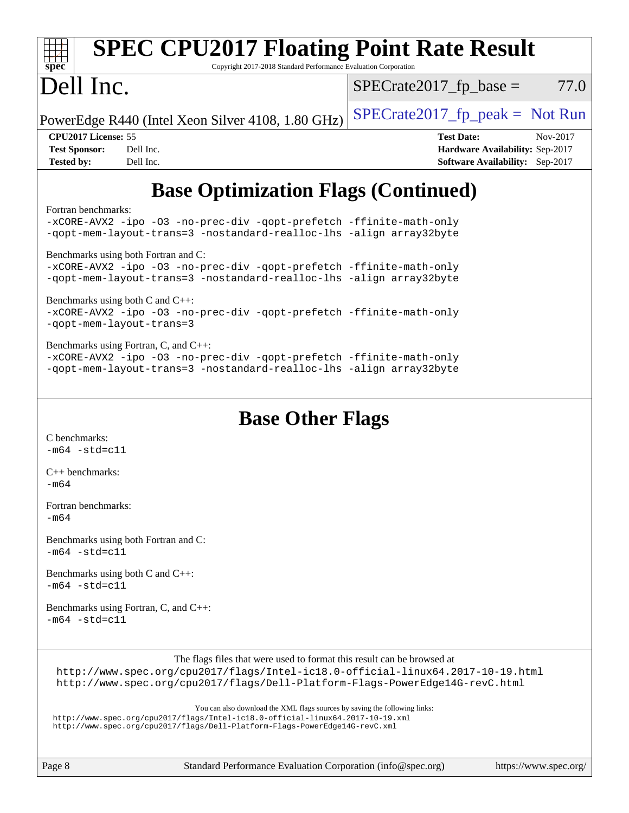| <b>SPEC CPU2017 Floating Point Rate Result</b><br>Copyright 2017-2018 Standard Performance Evaluation Corporation<br>spec <sup>®</sup>                                                                                                                                                                                                                                                                                                                                                                                                                                                                                                                                                |                                                                                                            |
|---------------------------------------------------------------------------------------------------------------------------------------------------------------------------------------------------------------------------------------------------------------------------------------------------------------------------------------------------------------------------------------------------------------------------------------------------------------------------------------------------------------------------------------------------------------------------------------------------------------------------------------------------------------------------------------|------------------------------------------------------------------------------------------------------------|
| Dell Inc.                                                                                                                                                                                                                                                                                                                                                                                                                                                                                                                                                                                                                                                                             | 77.0<br>$SPECrate2017fp base =$                                                                            |
| PowerEdge R440 (Intel Xeon Silver 4108, 1.80 GHz)                                                                                                                                                                                                                                                                                                                                                                                                                                                                                                                                                                                                                                     | $SPECrate2017__fp__peak = Not Run$                                                                         |
| CPU2017 License: 55<br><b>Test Sponsor:</b><br>Dell Inc.<br>Dell Inc.<br><b>Tested by:</b>                                                                                                                                                                                                                                                                                                                                                                                                                                                                                                                                                                                            | <b>Test Date:</b><br>Nov-2017<br>Hardware Availability: Sep-2017<br><b>Software Availability:</b> Sep-2017 |
| <b>Base Optimization Flags (Continued)</b>                                                                                                                                                                                                                                                                                                                                                                                                                                                                                                                                                                                                                                            |                                                                                                            |
| Fortran benchmarks:<br>-xCORE-AVX2 -ipo -03 -no-prec-div -qopt-prefetch -ffinite-math-only<br>-qopt-mem-layout-trans=3 -nostandard-realloc-lhs -align array32byte<br>Benchmarks using both Fortran and C:<br>-xCORE-AVX2 -ipo -03 -no-prec-div -qopt-prefetch -ffinite-math-only<br>-qopt-mem-layout-trans=3 -nostandard-realloc-lhs -align array32byte<br>Benchmarks using both C and C++:<br>-xCORE-AVX2 -ipo -03 -no-prec-div -qopt-prefetch -ffinite-math-only<br>-qopt-mem-layout-trans=3<br>Benchmarks using Fortran, C, and C++:<br>-xCORE-AVX2 -ipo -03 -no-prec-div -qopt-prefetch -ffinite-math-only<br>-qopt-mem-layout-trans=3 -nostandard-realloc-lhs -align array32byte |                                                                                                            |
| <b>Base Other Flags</b><br>C benchmarks:<br>$-m64 - std= c11$                                                                                                                                                                                                                                                                                                                                                                                                                                                                                                                                                                                                                         |                                                                                                            |
| $C++$ benchmarks:<br>$-m64$                                                                                                                                                                                                                                                                                                                                                                                                                                                                                                                                                                                                                                                           |                                                                                                            |
| Fortran benchmarks:<br>$-m64$                                                                                                                                                                                                                                                                                                                                                                                                                                                                                                                                                                                                                                                         |                                                                                                            |
| Benchmarks using both Fortran and C:<br>$-m64 - std = c11$                                                                                                                                                                                                                                                                                                                                                                                                                                                                                                                                                                                                                            |                                                                                                            |
| Benchmarks using both C and C++:<br>$-m64 - std= c11$                                                                                                                                                                                                                                                                                                                                                                                                                                                                                                                                                                                                                                 |                                                                                                            |
| Benchmarks using Fortran, C, and C++:<br>$-m64 - std= c11$                                                                                                                                                                                                                                                                                                                                                                                                                                                                                                                                                                                                                            |                                                                                                            |
| The flags files that were used to format this result can be browsed at<br>http://www.spec.org/cpu2017/flags/Intel-ic18.0-official-linux64.2017-10-19.html<br>http://www.spec.org/cpu2017/flags/Dell-Platform-Flags-PowerEdge14G-revC.html                                                                                                                                                                                                                                                                                                                                                                                                                                             |                                                                                                            |
| You can also download the XML flags sources by saving the following links:<br>http://www.spec.org/cpu2017/flags/Intel-ic18.0-official-linux64.2017-10-19.xml<br>http://www.spec.org/cpu2017/flags/Dell-Platform-Flags-PowerEdge14G-revC.xml                                                                                                                                                                                                                                                                                                                                                                                                                                           |                                                                                                            |

Page 8 Standard Performance Evaluation Corporation [\(info@spec.org\)](mailto:info@spec.org) <https://www.spec.org/>